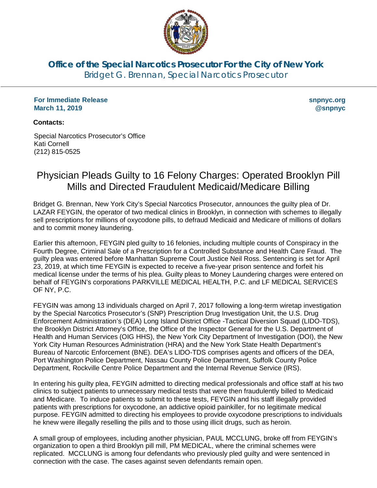

**Office of the Special Narcotics Prosecutor For the City of New York** Bridget G. Brennan, Special Narcotics Prosecutor

**For Immediate Release March 11, 2019**

**snpnyc.org @snpnyc**

## **Contacts:**

Special Narcotics Prosecutor's Office Kati Cornell (212) 815-0525

## Physician Pleads Guilty to 16 Felony Charges: Operated Brooklyn Pill Mills and Directed Fraudulent Medicaid/Medicare Billing

Bridget G. Brennan, New York City's Special Narcotics Prosecutor, announces the guilty plea of Dr. LAZAR FEYGIN, the operator of two medical clinics in Brooklyn, in connection with schemes to illegally sell prescriptions for millions of oxycodone pills, to defraud Medicaid and Medicare of millions of dollars and to commit money laundering.

Earlier this afternoon, FEYGIN pled guilty to 16 felonies, including multiple counts of Conspiracy in the Fourth Degree, Criminal Sale of a Prescription for a Controlled Substance and Health Care Fraud. The guilty plea was entered before Manhattan Supreme Court Justice Neil Ross. Sentencing is set for April 23, 2019, at which time FEYGIN is expected to receive a five-year prison sentence and forfeit his medical license under the terms of his plea. Guilty pleas to Money Laundering charges were entered on behalf of FEYGIN's corporations PARKVILLE MEDICAL HEALTH, P.C. and LF MEDICAL SERVICES OF NY, P.C.

FEYGIN was among 13 individuals charged on April 7, 2017 following a long-term wiretap investigation by the Special Narcotics Prosecutor's (SNP) Prescription Drug Investigation Unit, the U.S. Drug Enforcement Administration's (DEA) Long Island District Office -Tactical Diversion Squad (LIDO-TDS), the Brooklyn District Attorney's Office, the Office of the Inspector General for the U.S. Department of Health and Human Services (OIG HHS), the New York City Department of Investigation (DOI), the New York City Human Resources Administration (HRA) and the New York State Health Department's Bureau of Narcotic Enforcement (BNE). DEA's LIDO-TDS comprises agents and officers of the DEA, Port Washington Police Department, Nassau County Police Department, Suffolk County Police Department, Rockville Centre Police Department and the Internal Revenue Service (IRS).

In entering his guilty plea, FEYGIN admitted to directing medical professionals and office staff at his two clinics to subject patients to unnecessary medical tests that were then fraudulently billed to Medicaid and Medicare. To induce patients to submit to these tests, FEYGIN and his staff illegally provided patients with prescriptions for oxycodone, an addictive opioid painkiller, for no legitimate medical purpose. FEYGIN admitted to directing his employees to provide oxycodone prescriptions to individuals he knew were illegally reselling the pills and to those using illicit drugs, such as heroin.

A small group of employees, including another physician, PAUL MCCLUNG, broke off from FEYGIN's organization to open a third Brooklyn pill mill, PM MEDICAL, where the criminal schemes were replicated. MCCLUNG is among four defendants who previously pled guilty and were sentenced in connection with the case. The cases against seven defendants remain open.